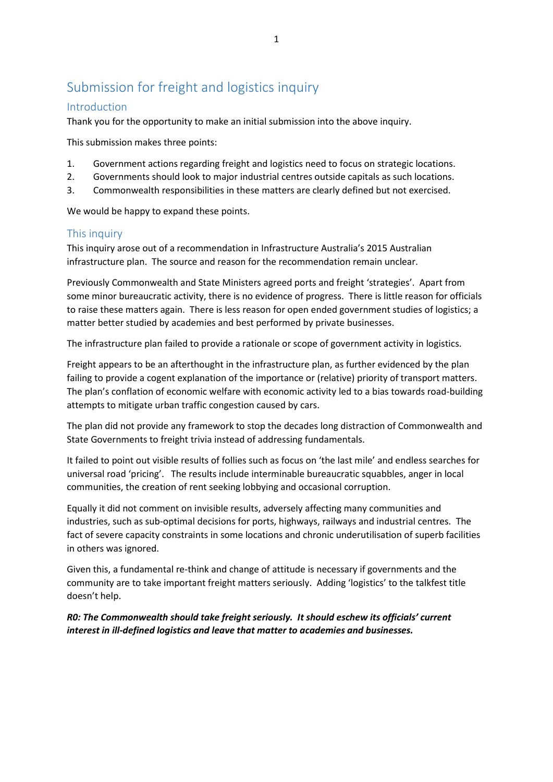# Submission for freight and logistics inquiry

## Introduction

Thank you for the opportunity to make an initial submission into the above inquiry.

This submission makes three points:

- 1. Government actions regarding freight and logistics need to focus on strategic locations.
- 2. Governments should look to major industrial centres outside capitals as such locations.
- 3. Commonwealth responsibilities in these matters are clearly defined but not exercised.

We would be happy to expand these points.

## This inquiry

This inquiry arose out of a recommendation in Infrastructure Australia's 2015 Australian infrastructure plan. The source and reason for the recommendation remain unclear.

Previously Commonwealth and State Ministers agreed ports and freight 'strategies'. Apart from some minor bureaucratic activity, there is no evidence of progress. There is little reason for officials to raise these matters again. There is less reason for open ended government studies of logistics; a matter better studied by academies and best performed by private businesses.

The infrastructure plan failed to provide a rationale or scope of government activity in logistics.

Freight appears to be an afterthought in the infrastructure plan, as further evidenced by the plan failing to provide a cogent explanation of the importance or (relative) priority of transport matters. The plan's conflation of economic welfare with economic activity led to a bias towards road-building attempts to mitigate urban traffic congestion caused by cars.

The plan did not provide any framework to stop the decades long distraction of Commonwealth and State Governments to freight trivia instead of addressing fundamentals.

It failed to point out visible results of follies such as focus on 'the last mile' and endless searches for universal road 'pricing'. The results include interminable bureaucratic squabbles, anger in local communities, the creation of rent seeking lobbying and occasional corruption.

Equally it did not comment on invisible results, adversely affecting many communities and industries, such as sub-optimal decisions for ports, highways, railways and industrial centres. The fact of severe capacity constraints in some locations and chronic underutilisation of superb facilities in others was ignored.

Given this, a fundamental re-think and change of attitude is necessary if governments and the community are to take important freight matters seriously. Adding 'logistics' to the talkfest title doesn't help.

*R0: The Commonwealth should take freight seriously. It should eschew its officials' current interest in ill-defined logistics and leave that matter to academies and businesses.*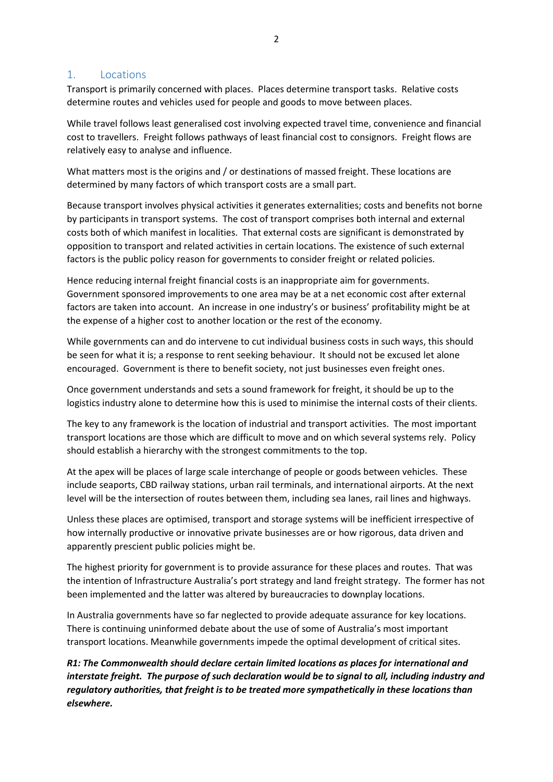#### 1. Locations

Transport is primarily concerned with places. Places determine transport tasks. Relative costs determine routes and vehicles used for people and goods to move between places.

While travel follows least generalised cost involving expected travel time, convenience and financial cost to travellers. Freight follows pathways of least financial cost to consignors. Freight flows are relatively easy to analyse and influence.

What matters most is the origins and / or destinations of massed freight. These locations are determined by many factors of which transport costs are a small part.

Because transport involves physical activities it generates externalities; costs and benefits not borne by participants in transport systems. The cost of transport comprises both internal and external costs both of which manifest in localities. That external costs are significant is demonstrated by opposition to transport and related activities in certain locations. The existence of such external factors is the public policy reason for governments to consider freight or related policies.

Hence reducing internal freight financial costs is an inappropriate aim for governments. Government sponsored improvements to one area may be at a net economic cost after external factors are taken into account. An increase in one industry's or business' profitability might be at the expense of a higher cost to another location or the rest of the economy.

While governments can and do intervene to cut individual business costs in such ways, this should be seen for what it is; a response to rent seeking behaviour. It should not be excused let alone encouraged. Government is there to benefit society, not just businesses even freight ones.

Once government understands and sets a sound framework for freight, it should be up to the logistics industry alone to determine how this is used to minimise the internal costs of their clients.

The key to any framework is the location of industrial and transport activities. The most important transport locations are those which are difficult to move and on which several systems rely. Policy should establish a hierarchy with the strongest commitments to the top.

At the apex will be places of large scale interchange of people or goods between vehicles. These include seaports, CBD railway stations, urban rail terminals, and international airports. At the next level will be the intersection of routes between them, including sea lanes, rail lines and highways.

Unless these places are optimised, transport and storage systems will be inefficient irrespective of how internally productive or innovative private businesses are or how rigorous, data driven and apparently prescient public policies might be.

The highest priority for government is to provide assurance for these places and routes. That was the intention of Infrastructure Australia's port strategy and land freight strategy. The former has not been implemented and the latter was altered by bureaucracies to downplay locations.

In Australia governments have so far neglected to provide adequate assurance for key locations. There is continuing uninformed debate about the use of some of Australia's most important transport locations. Meanwhile governments impede the optimal development of critical sites.

*R1: The Commonwealth should declare certain limited locations as places for international and interstate freight. The purpose of such declaration would be to signal to all, including industry and regulatory authorities, that freight is to be treated more sympathetically in these locations than elsewhere.*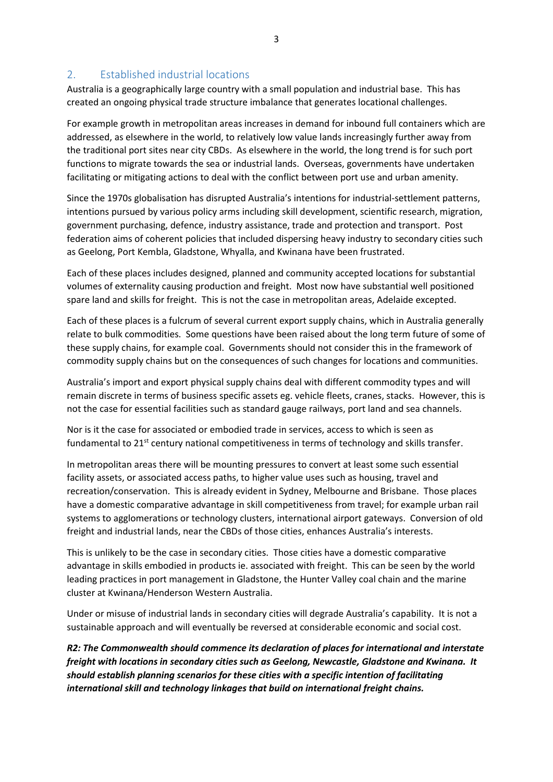## 2. Established industrial locations

Australia is a geographically large country with a small population and industrial base. This has created an ongoing physical trade structure imbalance that generates locational challenges.

For example growth in metropolitan areas increases in demand for inbound full containers which are addressed, as elsewhere in the world, to relatively low value lands increasingly further away from the traditional port sites near city CBDs. As elsewhere in the world, the long trend is for such port functions to migrate towards the sea or industrial lands. Overseas, governments have undertaken facilitating or mitigating actions to deal with the conflict between port use and urban amenity.

Since the 1970s globalisation has disrupted Australia's intentions for industrial-settlement patterns, intentions pursued by various policy arms including skill development, scientific research, migration, government purchasing, defence, industry assistance, trade and protection and transport. Post federation aims of coherent policies that included dispersing heavy industry to secondary cities such as Geelong, Port Kembla, Gladstone, Whyalla, and Kwinana have been frustrated.

Each of these places includes designed, planned and community accepted locations for substantial volumes of externality causing production and freight. Most now have substantial well positioned spare land and skills for freight. This is not the case in metropolitan areas, Adelaide excepted.

Each of these places is a fulcrum of several current export supply chains, which in Australia generally relate to bulk commodities. Some questions have been raised about the long term future of some of these supply chains, for example coal. Governments should not consider this in the framework of commodity supply chains but on the consequences of such changes for locations and communities.

Australia's import and export physical supply chains deal with different commodity types and will remain discrete in terms of business specific assets eg. vehicle fleets, cranes, stacks. However, this is not the case for essential facilities such as standard gauge railways, port land and sea channels.

Nor is it the case for associated or embodied trade in services, access to which is seen as fundamental to 21<sup>st</sup> century national competitiveness in terms of technology and skills transfer.

In metropolitan areas there will be mounting pressures to convert at least some such essential facility assets, or associated access paths, to higher value uses such as housing, travel and recreation/conservation. This is already evident in Sydney, Melbourne and Brisbane. Those places have a domestic comparative advantage in skill competitiveness from travel; for example urban rail systems to agglomerations or technology clusters, international airport gateways. Conversion of old freight and industrial lands, near the CBDs of those cities, enhances Australia's interests.

This is unlikely to be the case in secondary cities. Those cities have a domestic comparative advantage in skills embodied in products ie. associated with freight. This can be seen by the world leading practices in port management in Gladstone, the Hunter Valley coal chain and the marine cluster at Kwinana/Henderson Western Australia.

Under or misuse of industrial lands in secondary cities will degrade Australia's capability. It is not a sustainable approach and will eventually be reversed at considerable economic and social cost.

*R2: The Commonwealth should commence its declaration of places for international and interstate freight with locations in secondary cities such as Geelong, Newcastle, Gladstone and Kwinana. It should establish planning scenarios for these cities with a specific intention of facilitating international skill and technology linkages that build on international freight chains.*